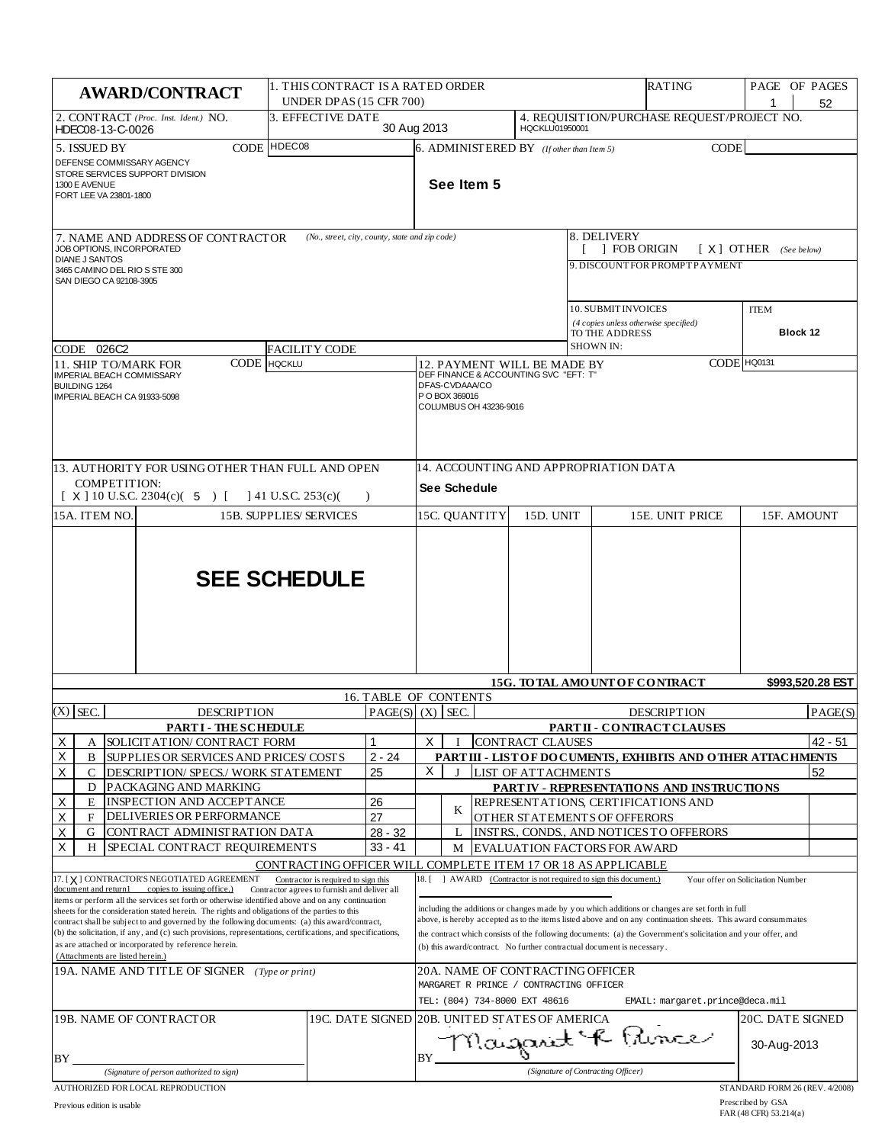| 1. THIS CONTRACT IS A RATED ORDER<br><b>AWARD/CONTRACT</b><br>UNDER DPAS (15 CFR 700)                                                                                                                                                                                                                                                                                                                                                                                                                                                                                                                                                                                                                  |                                                              |                                                               |                                                              |                                                                                                                                                                                                                                                                                                                                                                                                                                                                                                                        | RATING                                                 |  | PAGE OF PAGES                                | 52               |                                                                                |             |                                |                  |
|--------------------------------------------------------------------------------------------------------------------------------------------------------------------------------------------------------------------------------------------------------------------------------------------------------------------------------------------------------------------------------------------------------------------------------------------------------------------------------------------------------------------------------------------------------------------------------------------------------------------------------------------------------------------------------------------------------|--------------------------------------------------------------|---------------------------------------------------------------|--------------------------------------------------------------|------------------------------------------------------------------------------------------------------------------------------------------------------------------------------------------------------------------------------------------------------------------------------------------------------------------------------------------------------------------------------------------------------------------------------------------------------------------------------------------------------------------------|--------------------------------------------------------|--|----------------------------------------------|------------------|--------------------------------------------------------------------------------|-------------|--------------------------------|------------------|
| 2. CONTRACT (Proc. Inst. Ident.) NO.<br>HDEC08-13-C-0026                                                                                                                                                                                                                                                                                                                                                                                                                                                                                                                                                                                                                                               |                                                              | 3. EFFECTIVE DATE                                             |                                                              | 30 Aug 2013                                                                                                                                                                                                                                                                                                                                                                                                                                                                                                            |                                                        |  | HQCKLU01950001                               |                  | 4. REQUISITION/PURCHASE REQUEST/PROJECT NO.                                    |             |                                |                  |
| CODE HDEC08<br>5. ISSUED BY<br>DEFENSE COMMISSARY AGENCY<br>STORE SERVICES SUPPORT DIVISION<br>1300 E AVENUE<br>FORT LEE VA 23801-1800                                                                                                                                                                                                                                                                                                                                                                                                                                                                                                                                                                 |                                                              |                                                               |                                                              |                                                                                                                                                                                                                                                                                                                                                                                                                                                                                                                        | See Item 5                                             |  | $6.$ ADMINIST ERED BY (If other than Item 5) |                  |                                                                                | <b>CODE</b> |                                |                  |
| JOB OPTIONS, INCORPORATED                                                                                                                                                                                                                                                                                                                                                                                                                                                                                                                                                                                                                                                                              | 7. NAME AND ADDRESS OF CONTRACTOR                            | (No., street, city, county, state and zip code)               |                                                              |                                                                                                                                                                                                                                                                                                                                                                                                                                                                                                                        | 8. DELIVERY<br>1 FOB ORIGIN<br>$[X]$ OTHER (See below) |  |                                              |                  |                                                                                |             |                                |                  |
| <b>DIANE J SANTOS</b><br>3465 CAMINO DEL RIO S STE 300<br>SAN DIEGO CA 92108-3905                                                                                                                                                                                                                                                                                                                                                                                                                                                                                                                                                                                                                      |                                                              |                                                               |                                                              |                                                                                                                                                                                                                                                                                                                                                                                                                                                                                                                        |                                                        |  |                                              |                  | 9. DISCOUNTFOR PROMPTPAYMENT                                                   |             |                                |                  |
| CODE 026C2                                                                                                                                                                                                                                                                                                                                                                                                                                                                                                                                                                                                                                                                                             |                                                              | <b>FACILITY CODE</b>                                          |                                                              |                                                                                                                                                                                                                                                                                                                                                                                                                                                                                                                        |                                                        |  |                                              | <b>SHOWN IN:</b> | 10. SUBMIT INVOICES<br>(4 copies unless otherwise specified)<br>TO THE ADDRESS |             | <b>ITEM</b><br>Block 12        |                  |
| 11. SHIP TO/MARK FOR<br><b>IMPERIAL BEACH COMMISSARY</b>                                                                                                                                                                                                                                                                                                                                                                                                                                                                                                                                                                                                                                               | CODE                                                         | <b>HQCKLU</b>                                                 |                                                              |                                                                                                                                                                                                                                                                                                                                                                                                                                                                                                                        |                                                        |  |                                              |                  |                                                                                |             | CODE HQ0131                    |                  |
| <b>BUILDING 1264</b><br>IMPERIAL BEACH CA 91933-5098                                                                                                                                                                                                                                                                                                                                                                                                                                                                                                                                                                                                                                                   |                                                              |                                                               |                                                              | 12. PAYMENT WILL BE MADE BY<br>DEF FINANCE & ACCOUNTING SVC "EFT: T"<br>DFAS-CVDAAA/CO<br>P O BOX 369016<br>COLUMBUS OH 43236-9016                                                                                                                                                                                                                                                                                                                                                                                     |                                                        |  |                                              |                  |                                                                                |             |                                |                  |
| 13. AUTHORITY FOR USING OTHER THAN FULL AND OPEN<br>COMPETITION:<br>$[X]$ 10 U.S.C. 2304(c)( 5) [<br>$141$ U.S.C. 253(c)(<br>$\lambda$                                                                                                                                                                                                                                                                                                                                                                                                                                                                                                                                                                 |                                                              |                                                               |                                                              | 14. ACCOUNTING AND APPROPRIATION DATA<br><b>See Schedule</b>                                                                                                                                                                                                                                                                                                                                                                                                                                                           |                                                        |  |                                              |                  |                                                                                |             |                                |                  |
| 15A. ITEM NO.<br><b>15B. SUPPLIES/SERVICES</b>                                                                                                                                                                                                                                                                                                                                                                                                                                                                                                                                                                                                                                                         |                                                              |                                                               | 15C. QUANTITY<br>15D. UNIT<br>15E. UNIT PRICE<br>15F. AMOUNT |                                                                                                                                                                                                                                                                                                                                                                                                                                                                                                                        |                                                        |  |                                              |                  |                                                                                |             |                                |                  |
| <b>SEE SCHEDULE</b>                                                                                                                                                                                                                                                                                                                                                                                                                                                                                                                                                                                                                                                                                    |                                                              |                                                               |                                                              |                                                                                                                                                                                                                                                                                                                                                                                                                                                                                                                        |                                                        |  |                                              |                  | 15G. TO TAL AMOUNT OF CONTRACT                                                 |             |                                | \$993,520.28 EST |
|                                                                                                                                                                                                                                                                                                                                                                                                                                                                                                                                                                                                                                                                                                        |                                                              |                                                               |                                                              | 16. TABLE OF CONTENTS                                                                                                                                                                                                                                                                                                                                                                                                                                                                                                  |                                                        |  |                                              |                  |                                                                                |             |                                |                  |
| $(X)$ SEC.                                                                                                                                                                                                                                                                                                                                                                                                                                                                                                                                                                                                                                                                                             | <b>DESCRIPTION</b><br><b>PARTI - THESCHEDULE</b>             |                                                               |                                                              | PAGE(S)   (X)   SEC.<br><b>DESCRIPTION</b><br>PARTII - CONTRACT CLAUSES                                                                                                                                                                                                                                                                                                                                                                                                                                                |                                                        |  |                                              |                  | PAGE(S)                                                                        |             |                                |                  |
| Х<br>А                                                                                                                                                                                                                                                                                                                                                                                                                                                                                                                                                                                                                                                                                                 | SOLICIT AT ION/ CONTRACT FORM                                |                                                               |                                                              | X                                                                                                                                                                                                                                                                                                                                                                                                                                                                                                                      |                                                        |  | <b>CONTRACT CLAUSES</b>                      |                  |                                                                                |             |                                | 42 - 51          |
| Х<br>В                                                                                                                                                                                                                                                                                                                                                                                                                                                                                                                                                                                                                                                                                                 | SUPPLIES OR SERVICES AND PRICES/ COSTS                       |                                                               | $2 - 24$                                                     |                                                                                                                                                                                                                                                                                                                                                                                                                                                                                                                        |                                                        |  |                                              |                  | PART III - LIST OF DOCUMENTS, EXHIBITS AND OTHER ATTACHMENTS                   |             |                                |                  |
| X<br>С<br>D                                                                                                                                                                                                                                                                                                                                                                                                                                                                                                                                                                                                                                                                                            | DESCRIPTION/ SPECS./ WORK STATEMENT<br>PACKAGING AND MARKING |                                                               | 25                                                           | X                                                                                                                                                                                                                                                                                                                                                                                                                                                                                                                      | $\bf{I}$                                               |  | LIST OF ATTACHMENTS                          |                  | PARTIV - REPRESENTATIONS AND INSTRUCTIONS                                      |             |                                | 52               |
| Х<br>E                                                                                                                                                                                                                                                                                                                                                                                                                                                                                                                                                                                                                                                                                                 | <b>INSPECTION AND ACCEPTANCE</b>                             |                                                               | 26                                                           |                                                                                                                                                                                                                                                                                                                                                                                                                                                                                                                        | K                                                      |  |                                              |                  | REPRESENT ATIONS, CERTIFICATIONS AND                                           |             |                                |                  |
| Χ<br>F<br>Χ<br>G                                                                                                                                                                                                                                                                                                                                                                                                                                                                                                                                                                                                                                                                                       | DELIVERIES OR PERFORMANCE<br>CONTRACT ADMINISTRATION DATA    |                                                               | 27<br>$28 - 32$                                              |                                                                                                                                                                                                                                                                                                                                                                                                                                                                                                                        | L                                                      |  |                                              |                  | OTHER STATEMENTS OF OFFERORS<br>INSTRS., CONDS., AND NOTICES TO OFFERORS       |             |                                |                  |
| X<br>H                                                                                                                                                                                                                                                                                                                                                                                                                                                                                                                                                                                                                                                                                                 | SPECIAL CONTRACT REQUIREMENTS                                |                                                               | $33 - 41$                                                    |                                                                                                                                                                                                                                                                                                                                                                                                                                                                                                                        | M                                                      |  |                                              |                  | <b>EVALUATION FACTORS FOR AWARD</b>                                            |             |                                |                  |
|                                                                                                                                                                                                                                                                                                                                                                                                                                                                                                                                                                                                                                                                                                        |                                                              | CONTRACTING OFFICER WILL COMPLETE ITEM 17 OR 18 AS APPLICABLE |                                                              |                                                                                                                                                                                                                                                                                                                                                                                                                                                                                                                        |                                                        |  |                                              |                  |                                                                                |             |                                |                  |
| 17. [X] CONTRACTOR'S NEGOTIATED AGREEMENT<br>Contractor is required to sign this<br>document and return1 copies to issuing office.)<br>Contractor agrees to furnish and deliver all<br>items or perform all the services set forth or otherwise identified above and on any continuation<br>sheets for the consideration stated herein. The rights and obligations of the parties to this<br>contract shall be subject to and governed by the following documents: (a) this award/contract,<br>(b) the solicitation, if any, and (c) such provisions, representations, certifications, and specifications,<br>as are attached or incorporated by reference herein.<br>(Attachments are listed herein.) |                                                              |                                                               |                                                              | AWARD (Contractor is not required to sign this document.)<br>18. L<br>Your offer on Solicitation Number<br>including the additions or changes made by you which additions or changes are set forth in full<br>above, is hereby accepted as to the items listed above and on any continuation sheets. This award consummates<br>the contract which consists of the following documents: (a) the Government's solicitation and your offer, and<br>(b) this award/contract. No further contractual document is necessary. |                                                        |  |                                              |                  |                                                                                |             |                                |                  |
| 19A. NAME AND TITLE OF SIGNER (Type or print)                                                                                                                                                                                                                                                                                                                                                                                                                                                                                                                                                                                                                                                          |                                                              |                                                               |                                                              | 20A. NAME OF CONTRACTING OFFICER<br>MARGARET R PRINCE / CONTRACTING OFFICER                                                                                                                                                                                                                                                                                                                                                                                                                                            |                                                        |  |                                              |                  |                                                                                |             |                                |                  |
|                                                                                                                                                                                                                                                                                                                                                                                                                                                                                                                                                                                                                                                                                                        |                                                              |                                                               |                                                              | TEL: (804) 734-8000 EXT 48616<br>EMAIL: margaret.prince@deca.mil                                                                                                                                                                                                                                                                                                                                                                                                                                                       |                                                        |  |                                              |                  |                                                                                |             |                                |                  |
| 19B. NAME OF CONTRACTOR<br>BY                                                                                                                                                                                                                                                                                                                                                                                                                                                                                                                                                                                                                                                                          |                                                              |                                                               |                                                              | 19C. DATE SIGNED 20B. UNITED STATES OF AMERICA<br>20C. DATE SIGNED<br>Magarit & Pince<br>30-Aug-2013<br>BY                                                                                                                                                                                                                                                                                                                                                                                                             |                                                        |  |                                              |                  |                                                                                |             |                                |                  |
| (Signature of person authorized to sign)<br>AUTHORIZED FOR LOCAL REPRODUCTION                                                                                                                                                                                                                                                                                                                                                                                                                                                                                                                                                                                                                          |                                                              |                                                               |                                                              |                                                                                                                                                                                                                                                                                                                                                                                                                                                                                                                        |                                                        |  |                                              |                  | (Signature of Contracting Officer)                                             |             |                                |                  |
|                                                                                                                                                                                                                                                                                                                                                                                                                                                                                                                                                                                                                                                                                                        |                                                              |                                                               |                                                              |                                                                                                                                                                                                                                                                                                                                                                                                                                                                                                                        |                                                        |  |                                              |                  |                                                                                |             | STANDARD FORM 26 (REV. 4/2008) |                  |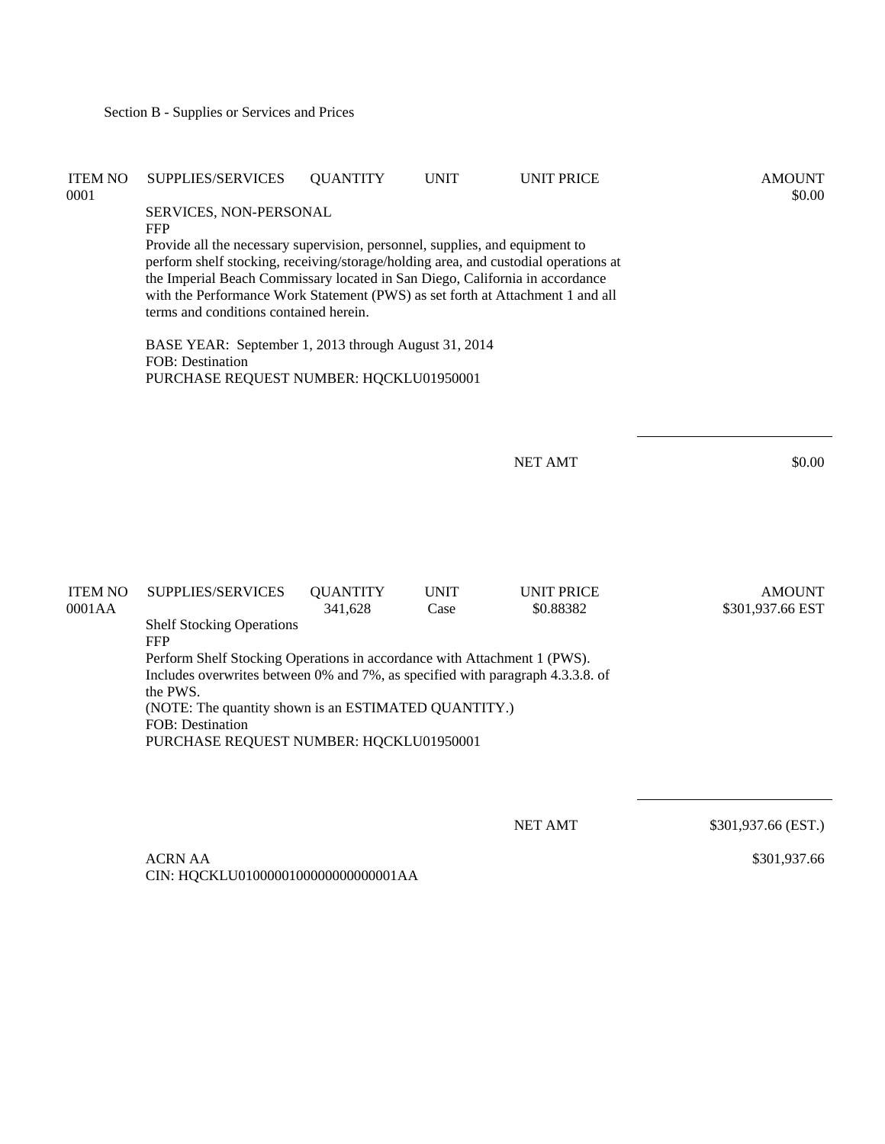| <b>ITEM NO</b><br>0001   | SUPPLIES/SERVICES<br>SERVICES, NON-PERSONAL<br><b>FFP</b><br>Provide all the necessary supervision, personnel, supplies, and equipment to<br>perform shelf stocking, receiving/storage/holding area, and custodial operations at<br>the Imperial Beach Commissary located in San Diego, California in accordance<br>with the Performance Work Statement (PWS) as set forth at Attachment 1 and all<br>terms and conditions contained herein.<br>BASE YEAR: September 1, 2013 through August 31, 2014<br><b>FOB</b> : Destination<br>PURCHASE REQUEST NUMBER: HQCKLU01950001 | <b>QUANTITY</b>            | <b>UNIT</b>         | <b>UNIT PRICE</b>              | <b>AMOUNT</b><br>\$0.00           |
|--------------------------|-----------------------------------------------------------------------------------------------------------------------------------------------------------------------------------------------------------------------------------------------------------------------------------------------------------------------------------------------------------------------------------------------------------------------------------------------------------------------------------------------------------------------------------------------------------------------------|----------------------------|---------------------|--------------------------------|-----------------------------------|
|                          |                                                                                                                                                                                                                                                                                                                                                                                                                                                                                                                                                                             |                            |                     | <b>NET AMT</b>                 | \$0.00                            |
| <b>ITEM NO</b><br>0001AA | SUPPLIES/SERVICES<br><b>Shelf Stocking Operations</b><br><b>FFP</b><br>Perform Shelf Stocking Operations in accordance with Attachment 1 (PWS).<br>Includes overwrites between 0% and 7%, as specified with paragraph 4.3.3.8. of<br>the PWS.<br>(NOTE: The quantity shown is an ESTIMATED QUANTITY.)<br>FOB: Destination<br>PURCHASE REQUEST NUMBER: HQCKLU01950001                                                                                                                                                                                                        | <b>QUANTITY</b><br>341,628 | <b>UNIT</b><br>Case | <b>UNIT PRICE</b><br>\$0.88382 | <b>AMOUNT</b><br>\$301,937.66 EST |
|                          |                                                                                                                                                                                                                                                                                                                                                                                                                                                                                                                                                                             |                            |                     | <b>NET AMT</b>                 | \$301,937.66 (EST.)               |

 ACRN AA CIN: HQCKLU0100000100000000000001AA \$301,937.66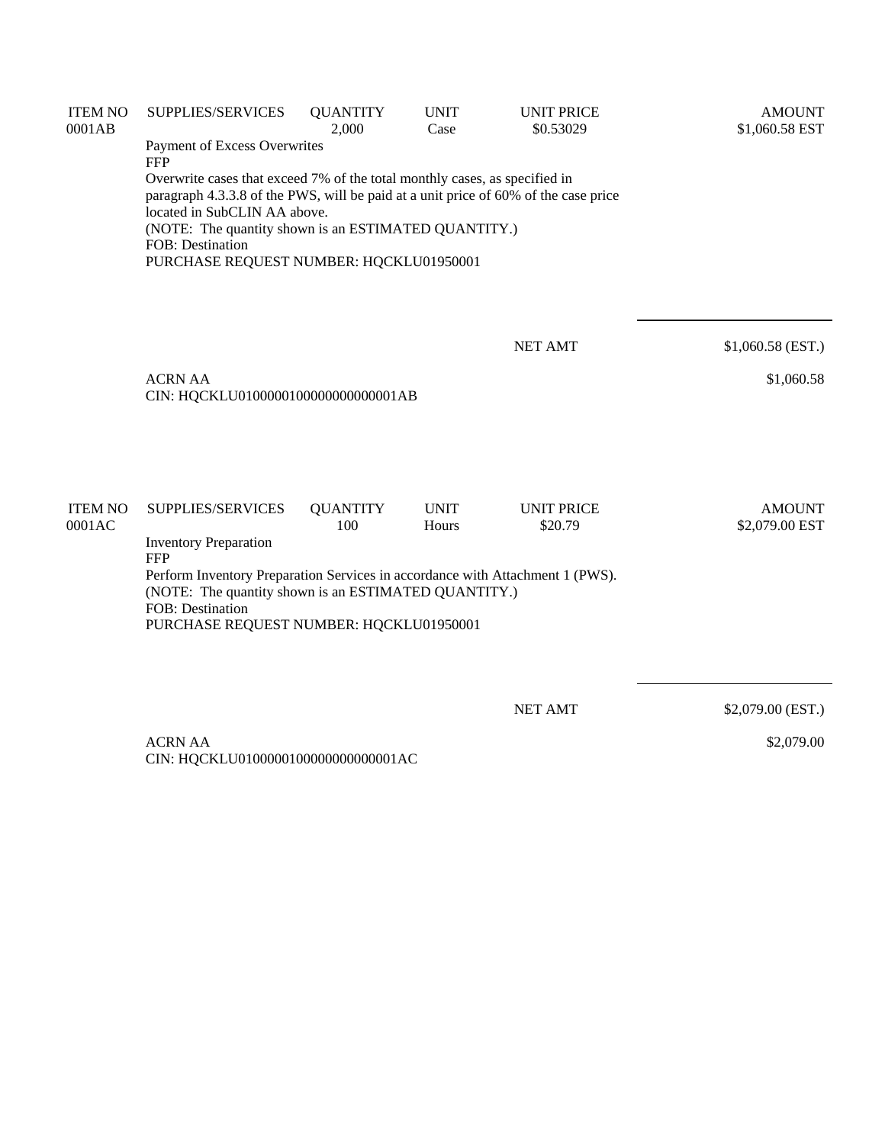| <b>ITEM NO</b><br>0001AB | <b>SUPPLIES/SERVICES</b>                                                                                                                                                                                                                                                                                                 | <b>QUANTITY</b><br>2,000 | <b>UNIT</b><br>Case | <b>UNIT PRICE</b><br>\$0.53029 | <b>AMOUNT</b><br>\$1,060.58 EST |  |  |  |
|--------------------------|--------------------------------------------------------------------------------------------------------------------------------------------------------------------------------------------------------------------------------------------------------------------------------------------------------------------------|--------------------------|---------------------|--------------------------------|---------------------------------|--|--|--|
|                          | Payment of Excess Overwrites<br><b>FFP</b>                                                                                                                                                                                                                                                                               |                          |                     |                                |                                 |  |  |  |
|                          | Overwrite cases that exceed 7% of the total monthly cases, as specified in<br>paragraph 4.3.3.8 of the PWS, will be paid at a unit price of 60% of the case price<br>located in SubCLIN AA above.<br>(NOTE: The quantity shown is an ESTIMATED QUANTITY.)<br>FOB: Destination<br>PURCHASE REQUEST NUMBER: HQCKLU01950001 |                          |                     |                                |                                 |  |  |  |
|                          |                                                                                                                                                                                                                                                                                                                          |                          |                     | <b>NET AMT</b>                 | \$1,060.58 (EST.)               |  |  |  |
|                          | <b>ACRN AA</b><br>CIN: HQCKLU0100000100000000000001AB                                                                                                                                                                                                                                                                    |                          |                     |                                | \$1,060.58                      |  |  |  |
| <b>ITEM NO</b>           | SUPPLIES/SERVICES                                                                                                                                                                                                                                                                                                        | <b>QUANTITY</b>          | <b>UNIT</b>         | <b>UNIT PRICE</b>              | <b>AMOUNT</b>                   |  |  |  |
| 0001AC                   | <b>Inventory Preparation</b><br><b>FFP</b>                                                                                                                                                                                                                                                                               | 100                      | Hours               | \$20.79                        | \$2,079.00 EST                  |  |  |  |
|                          | Perform Inventory Preparation Services in accordance with Attachment 1 (PWS).<br>(NOTE: The quantity shown is an ESTIMATED QUANTITY.)<br>FOB: Destination<br>PURCHASE REQUEST NUMBER: HQCKLU01950001                                                                                                                     |                          |                     |                                |                                 |  |  |  |
|                          |                                                                                                                                                                                                                                                                                                                          |                          |                     | <b>NET AMT</b>                 | \$2,079.00 (EST.)               |  |  |  |
|                          | <b>ACRN AA</b>                                                                                                                                                                                                                                                                                                           |                          |                     |                                | \$2,079.00                      |  |  |  |

CIN: HQCKLU0100000100000000000001AC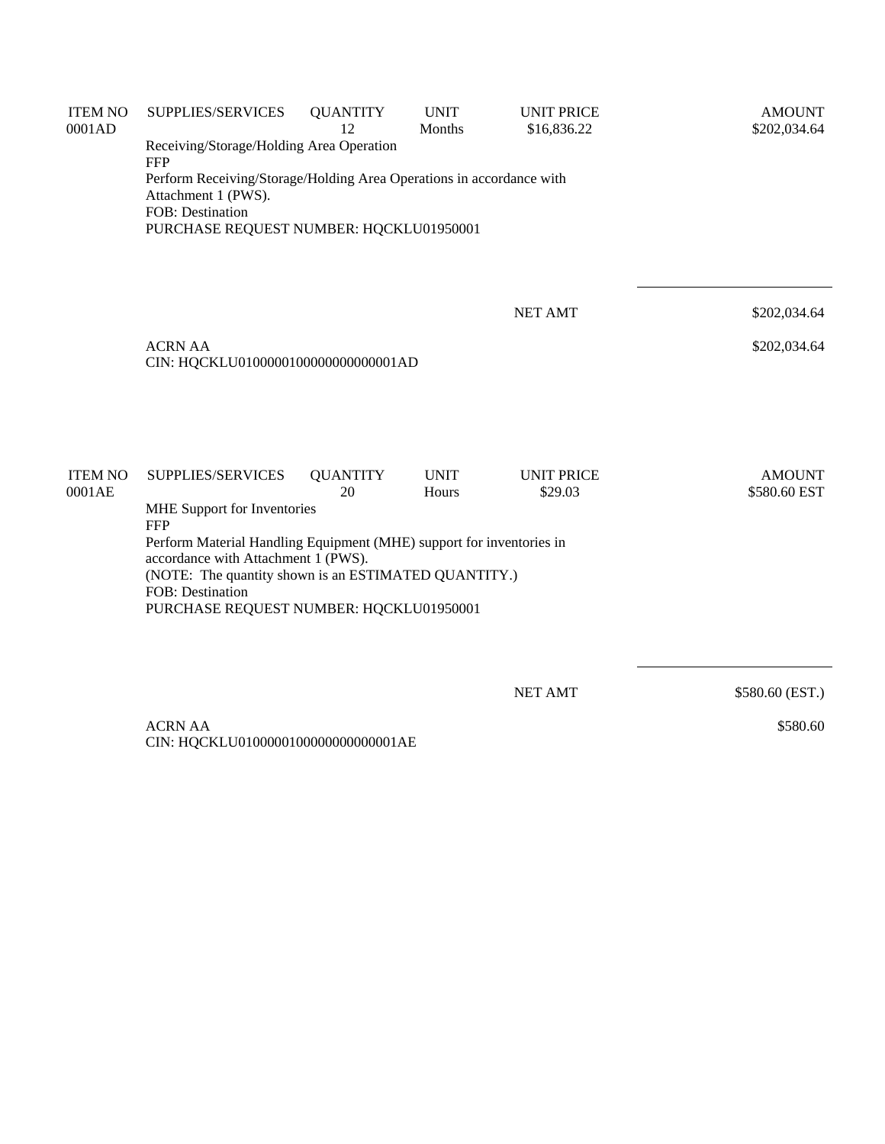| <b>ITEM NO</b><br>0001AD | SUPPLIES/SERVICES                                                                                                   | <b>QUANTITY</b><br>12                                               | <b>UNIT</b><br>Months | <b>UNIT PRICE</b><br>\$16,836.22 | <b>AMOUNT</b><br>\$202,034.64 |  |  |  |  |
|--------------------------|---------------------------------------------------------------------------------------------------------------------|---------------------------------------------------------------------|-----------------------|----------------------------------|-------------------------------|--|--|--|--|
|                          | Receiving/Storage/Holding Area Operation<br><b>FFP</b>                                                              |                                                                     |                       |                                  |                               |  |  |  |  |
|                          | Perform Receiving/Storage/Holding Area Operations in accordance with<br>Attachment 1 (PWS).                         |                                                                     |                       |                                  |                               |  |  |  |  |
|                          |                                                                                                                     | <b>FOB</b> : Destination<br>PURCHASE REQUEST NUMBER: HQCKLU01950001 |                       |                                  |                               |  |  |  |  |
|                          |                                                                                                                     |                                                                     |                       |                                  |                               |  |  |  |  |
|                          |                                                                                                                     |                                                                     |                       | <b>NET AMT</b>                   | \$202,034.64                  |  |  |  |  |
|                          | <b>ACRN AA</b><br>\$202,034.64<br>CIN: HQCKLU0100000100000000000001AD                                               |                                                                     |                       |                                  |                               |  |  |  |  |
|                          |                                                                                                                     |                                                                     |                       |                                  |                               |  |  |  |  |
| <b>ITEM NO</b>           |                                                                                                                     |                                                                     | <b>UNIT</b>           | <b>UNIT PRICE</b>                |                               |  |  |  |  |
| 0001AE                   | SUPPLIES/SERVICES                                                                                                   | <b>QUANTITY</b><br>20                                               | Hours                 | \$29.03                          | <b>AMOUNT</b><br>\$580.60 EST |  |  |  |  |
|                          | MHE Support for Inventories<br><b>FFP</b>                                                                           |                                                                     |                       |                                  |                               |  |  |  |  |
|                          | Perform Material Handling Equipment (MHE) support for inventories in<br>accordance with Attachment 1 (PWS).         |                                                                     |                       |                                  |                               |  |  |  |  |
|                          | (NOTE: The quantity shown is an ESTIMATED QUANTITY.)<br>FOB: Destination<br>PURCHASE REQUEST NUMBER: HQCKLU01950001 |                                                                     |                       |                                  |                               |  |  |  |  |
|                          |                                                                                                                     |                                                                     |                       |                                  |                               |  |  |  |  |
|                          |                                                                                                                     |                                                                     |                       | <b>NET AMT</b>                   | \$580.60 (EST.)               |  |  |  |  |
|                          | <b>ACRN AA</b><br>CIN: HQCKLU0100000100000000000001AE                                                               |                                                                     |                       |                                  | \$580.60                      |  |  |  |  |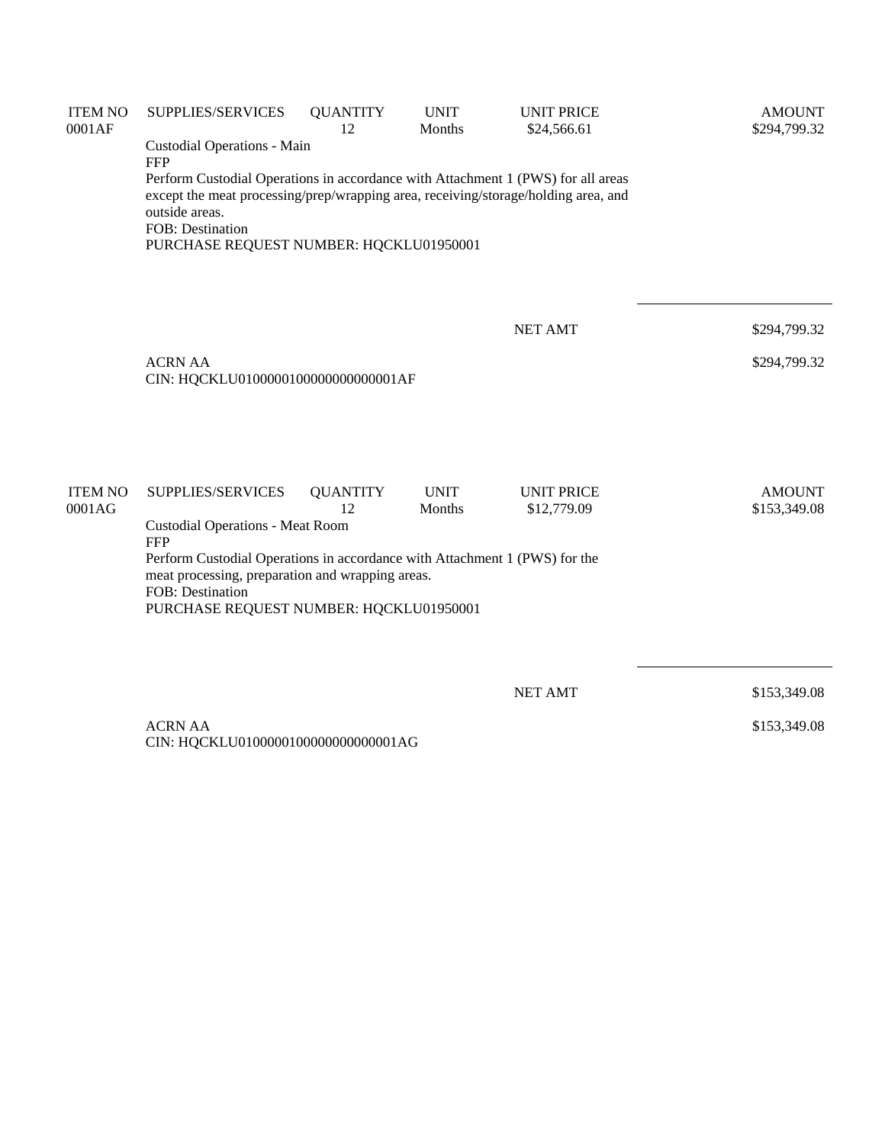| <b>ITEM NO</b><br>0001AF | SUPPLIES/SERVICES                                                                                                                                                                                                                                       | <b>QUANTITY</b><br>12 | <b>UNIT</b><br>Months | <b>UNIT PRICE</b><br>\$24,566.61 | <b>AMOUNT</b><br>\$294,799.32 |  |  |
|--------------------------|---------------------------------------------------------------------------------------------------------------------------------------------------------------------------------------------------------------------------------------------------------|-----------------------|-----------------------|----------------------------------|-------------------------------|--|--|
|                          | Custodial Operations - Main<br><b>FFP</b>                                                                                                                                                                                                               |                       |                       |                                  |                               |  |  |
|                          | Perform Custodial Operations in accordance with Attachment 1 (PWS) for all areas<br>except the meat processing/prep/wrapping area, receiving/storage/holding area, and<br>outside areas.<br>FOB: Destination<br>PURCHASE REQUEST NUMBER: HQCKLU01950001 |                       |                       |                                  |                               |  |  |
|                          |                                                                                                                                                                                                                                                         |                       |                       | <b>NET AMT</b>                   | \$294,799.32                  |  |  |
|                          | <b>ACRN AA</b><br>CIN: HQCKLU0100000100000000000001AF                                                                                                                                                                                                   |                       |                       |                                  | \$294,799.32                  |  |  |
| <b>ITEM NO</b><br>0001AG | <b>SUPPLIES/SERVICES</b>                                                                                                                                                                                                                                | <b>QUANTITY</b><br>12 | <b>UNIT</b><br>Months | <b>UNIT PRICE</b><br>\$12,779.09 | <b>AMOUNT</b><br>\$153,349.08 |  |  |
|                          | <b>Custodial Operations - Meat Room</b><br><b>FFP</b><br>Perform Custodial Operations in accordance with Attachment 1 (PWS) for the<br>meat processing, preparation and wrapping areas.<br>FOB: Destination<br>PURCHASE REQUEST NUMBER: HQCKLU01950001  |                       |                       |                                  |                               |  |  |
|                          |                                                                                                                                                                                                                                                         |                       |                       |                                  |                               |  |  |
|                          |                                                                                                                                                                                                                                                         |                       |                       | <b>NET AMT</b>                   | \$153,349.08                  |  |  |
|                          | <b>ACRN AA</b><br>CIN: HQCKLU0100000100000000000001AG                                                                                                                                                                                                   |                       |                       |                                  | \$153,349.08                  |  |  |